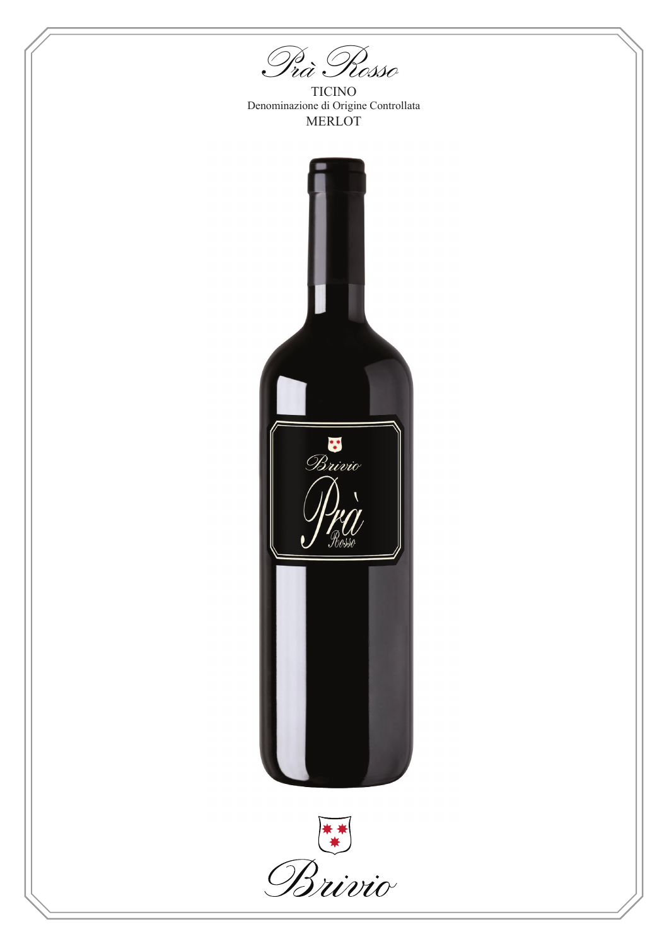*Prà Rosso*

TICINO Denominazione di Origine Controllata MERLOT



Brivio